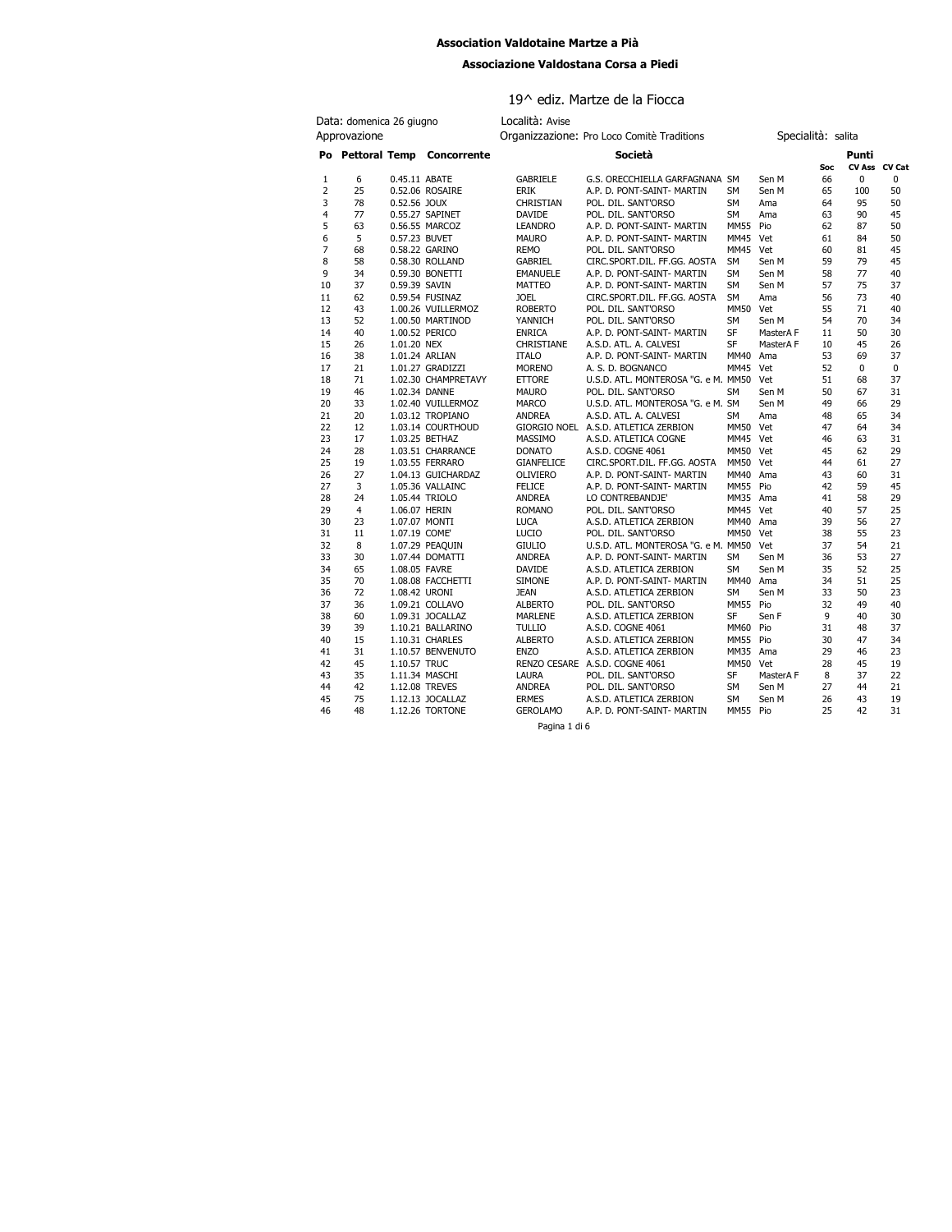#### **Association Valdotaine Martze a Pià**

#### **Associazione Valdostana Corsa a Piedi**

| Associazione Valdostana Corsa a Piedi |                          |               |                              |                   |                                            |             |           |                    |       |               |
|---------------------------------------|--------------------------|---------------|------------------------------|-------------------|--------------------------------------------|-------------|-----------|--------------------|-------|---------------|
|                                       |                          |               |                              |                   | 19^ ediz. Martze de la Fiocca              |             |           |                    |       |               |
|                                       | Data: domenica 26 giugno |               |                              | Località: Avise   |                                            |             |           |                    |       |               |
| Approvazione                          |                          |               |                              |                   | Organizzazione: Pro Loco Comitè Traditions |             |           | Specialità: salita |       |               |
|                                       |                          |               |                              |                   | Società                                    |             |           |                    |       |               |
|                                       |                          |               | Po Pettoral Temp Concorrente |                   |                                            |             |           | Soc                | Punti | CV Ass CV Cat |
| 1                                     | 6                        | 0.45.11 ABATE |                              | <b>GABRIELE</b>   | G.S. ORECCHIELLA GARFAGNANA SM             |             | Sen M     | 66                 | 0     | 0             |
| 2                                     | 25                       |               | 0.52.06 ROSAIRE              | <b>ERIK</b>       | A.P. D. PONT-SAINT- MARTIN                 | SM          | Sen M     | 65                 | 100   | 50            |
| 3                                     | 78                       | 0.52.56 JOUX  |                              | <b>CHRISTIAN</b>  | POL. DIL. SANT'ORSO                        | <b>SM</b>   | Ama       | 64                 | 95    | 50            |
| 4                                     | 77                       |               | 0.55.27 SAPINET              | DAVIDE            | POL. DIL. SANT'ORSO                        | SM          | Ama       | 63                 | 90    | 45            |
| 5                                     | 63                       |               | 0.56.55 MARCOZ               | <b>LEANDRO</b>    | A.P. D. PONT-SAINT- MARTIN                 | <b>MM55</b> | Pio       | 62                 | 87    | 50            |
| 6                                     | 5                        | 0.57.23 BUVET |                              | <b>MAURO</b>      | A.P. D. PONT-SAINT- MARTIN                 | <b>MM45</b> | Vet       | 61                 | 84    | 50            |
| 7                                     | 68                       |               | 0.58.22 GARINO               | <b>REMO</b>       | POL. DIL. SANT'ORSO                        | MM45 Vet    |           | 60                 | 81    | 45            |
| 8                                     | 58                       |               | 0.58.30 ROLLAND              | GABRIEL           | CIRC.SPORT.DIL. FF.GG. AOSTA               | <b>SM</b>   | Sen M     | 59                 | 79    | 45            |
| 9                                     | 34                       |               | 0.59.30 BONETTI              | <b>EMANUELE</b>   | A.P. D. PONT-SAINT- MARTIN                 | <b>SM</b>   | Sen M     | 58                 | 77    | 40            |
| 10                                    | 37                       | 0.59.39 SAVIN |                              | MATTEO            | A.P. D. PONT-SAINT- MARTIN                 | <b>SM</b>   | Sen M     | 57                 | 75    | 37            |
| 11                                    | 62                       |               | 0.59.54 FUSINAZ              | <b>JOEL</b>       | CIRC.SPORT.DIL. FF.GG. AOSTA               | <b>SM</b>   | Ama       | 56                 | 73    | 40            |
| 12                                    | 43                       |               | 1.00.26 VUILLERMOZ           | <b>ROBERTO</b>    | POL. DIL. SANT'ORSO                        | MM50        | Vet       | 55                 | 71    | 40            |
| 13                                    | 52                       |               | 1.00.50 MARTINOD             | YANNICH           | POL. DIL. SANT'ORSO                        | <b>SM</b>   | Sen M     | 54                 | 70    | 34            |
| 14                                    | 40                       |               | 1.00.52 PERICO               | <b>ENRICA</b>     | A.P. D. PONT-SAINT- MARTIN                 | SF          | MasterA F | 11                 | 50    | 30            |
| 15                                    | 26                       | 1.01.20 NEX   |                              | CHRISTIANE        | A.S.D. ATL. A. CALVESI                     | SF          | MasterA F | 10                 | 45    | 26            |
| 16                                    | 38                       |               | 1.01.24 ARLIAN               | <b>ITALO</b>      | A.P. D. PONT-SAINT- MARTIN                 | MM40        | Ama       | 53                 | 69    | 37            |
| 17                                    | 21                       |               | 1.01.27 GRADIZZI             | <b>MORENO</b>     | A. S. D. BOGNANCO                          | <b>MM45</b> | Vet       | 52                 | 0     | 0             |
| 18                                    | 71                       |               | 1.02.30 CHAMPRETAVY          | <b>ETTORE</b>     | U.S.D. ATL. MONTEROSA "G. e M. MM50        |             | Vet       | 51                 | 68    | 37            |
| 19                                    | 46                       | 1.02.34 DANNE |                              | <b>MAURO</b>      | POL. DIL. SANT'ORSO                        | SM          | Sen M     | 50                 | 67    | 31            |
| 20                                    | 33                       |               | 1.02.40 VUILLERMOZ           | <b>MARCO</b>      | U.S.D. ATL. MONTEROSA "G. e M. SM          |             | Sen M     | 49                 | 66    | 29            |
| 21                                    | 20                       |               | 1.03.12 TROPIANO             | ANDREA            | A.S.D. ATL. A. CALVESI                     | SM          | Ama       | 48                 | 65    | 34            |
| 22                                    | 12                       |               | 1.03.14 COURTHOUD            |                   | GIORGIO NOEL A.S.D. ATLETICA ZERBION       | MM50 Vet    |           | 47                 | 64    | 34            |
| 23                                    | 17                       |               | 1.03.25 BETHAZ               | MASSIMO           | A.S.D. ATLETICA COGNE                      | MM45 Vet    |           | 46                 | 63    | 31            |
| 24                                    | 28                       |               | 1.03.51 CHARRANCE            | <b>DONATO</b>     | A.S.D. COGNE 4061                          | MM50 Vet    |           | 45                 | 62    | 29            |
| 25                                    | 19                       |               | 1.03.55 FERRARO              | <b>GIANFELICE</b> | CIRC.SPORT.DIL. FF.GG. AOSTA               | MM50 Vet    |           | 44                 | 61    | 27            |
| 26                                    | 27                       |               | 1.04.13 GUICHARDAZ           | <b>OLIVIERO</b>   | A.P. D. PONT-SAINT- MARTIN                 | MM40 Ama    |           | 43                 | 60    | 31            |
| 27                                    | 3                        |               | 1.05.36 VALLAINC             | <b>FELICE</b>     | A.P. D. PONT-SAINT- MARTIN                 | MM55 Pio    |           | 42                 | 59    | 45            |
| 28                                    | 24                       |               | 1.05.44 TRIOLO               | <b>ANDREA</b>     | LO CONTREBANDJE'                           | MM35 Ama    |           | 41                 | 58    | 29            |
| 29                                    | $\overline{4}$           | 1.06.07 HERIN |                              | <b>ROMANO</b>     | POL. DIL. SANT'ORSO                        | MM45 Vet    |           | 40                 | 57    | 25            |
| 30                                    | 23                       | 1.07.07 MONTI |                              | <b>LUCA</b>       | A.S.D. ATLETICA ZERBION                    | MM40 Ama    |           | 39                 | 56    | 27            |
| 31                                    | 11                       | 1.07.19 COME  |                              | <b>LUCIO</b>      | POL. DIL. SANT'ORSO                        | MM50 Vet    |           | 38                 | 55    | 23            |
| 32                                    | 8                        |               | 1.07.29 PEAQUIN              | <b>GIULIO</b>     | U.S.D. ATL. MONTEROSA "G. e M. MM50 Vet    |             |           | 37                 | 54    | 21            |
| 33                                    | 30                       |               | 1.07.44 DOMATTI              | <b>ANDREA</b>     | A.P. D. PONT-SAINT- MARTIN                 | SM          | Sen M     | 36                 | 53    | 27            |
| 34                                    | 65                       | 1.08.05 FAVRE |                              | DAVIDE            | A.S.D. ATLETICA ZERBION                    | SM          | Sen M     | 35                 | 52    | 25            |
| 35                                    | 70                       |               | 1.08.08 FACCHETTI            | <b>SIMONE</b>     | A.P. D. PONT-SAINT- MARTIN                 | MM40        | Ama       | 34                 | 51    | 25            |
| 36                                    | 72                       | 1.08.42 URONI |                              | <b>JEAN</b>       | A.S.D. ATLETICA ZERBION                    | SM          | Sen M     | 33                 | 50    | 23            |
| 37                                    | 36                       |               | 1.09.21 COLLAVO              | <b>ALBERTO</b>    | POL. DIL. SANT'ORSO                        | MM55 Pio    |           | 32                 | 49    | 40            |
| 38                                    | 60                       |               | 1.09.31 JOCALLAZ             | MARLENE           | A.S.D. ATLETICA ZERBION                    | SF          | Sen F     | 9                  | 40    | 30            |
| 39                                    | 39                       |               | 1.10.21 BALLARINO            | <b>TULLIO</b>     | A.S.D. COGNE 4061                          | MM60 Pio    |           | 31                 | 48    | 37            |

39 39 1.10.21 BALLARINO TULLIO A.S.D. COGNE 4061 MM60 Pio 31 48 37<br>
40 15 1.10.31 CHARLES ALBERTO A.S.D. ATLETICA ZERBION MM55 Pio 30 47 34<br>
42 45 1.10.57 TRUC ENZO CESARE A.S.D. COGNE 4061 MM55 Ama 29 46 23<br>
43 35 1.11.34 75 1.12.13 JOCALLAZ ERMES A.S.D. ATLETICA ZERBION SM Sen M 26 43 19 A.P. D. PONT-SAINT- MARTIN

Pagina 1 di 6

15 1.10.31 CHARLES ALBERTO A.S.D. ATLETICA ZERBION MM55 Pio 30<br>31 1.10.57 BENVENUTO ENZO A.S.D. ATLETICA ZERBION MM35 Ama 29 31 1.10.57 BENVENUTO ENZO A.S.D. ATLETICA ZERBION MM35 Ama 29 46 23 42 45 1.10.57 TRUC RENZO CESARE A.S.D. COGNE 4061 MM50 Vet 28 45 19 43 35 1.11.34 MASCHI LAURA POL. DIL. SANT'ORSO SF MasterA F 8 37 22 44 1.1.1.34 MASCHI RENZO CESARE A.S.D. COGNE 4061 MM50 Vet<br>
44 1.1.1.34 MASCHI LAURA POL. DIL. SANT'ORSO SF MasterA F 8 37 22<br>
42 1.12.08 TREVES ANDREA POL. DIL. SANT'ORSO SM Sen M 27 44 21<br>
1.12.13 JOCALLAZ ERMES A.S.D. A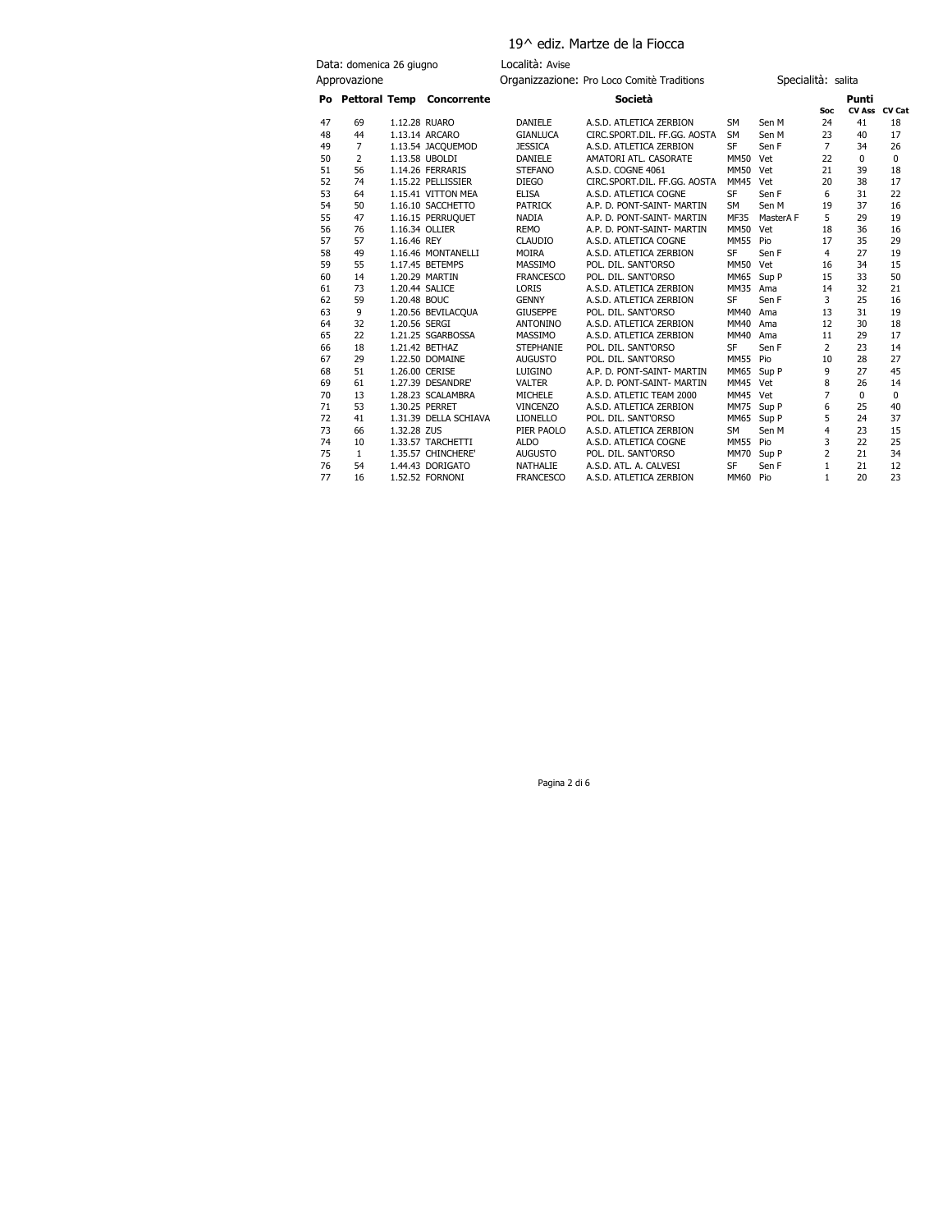## 19^ ediz. Martze de la Fiocca

| Data: domenica 26 giugno |                      | Località: Avise |                                     |                                            |                                                         |                        |                    |                      |               |          |
|--------------------------|----------------------|-----------------|-------------------------------------|--------------------------------------------|---------------------------------------------------------|------------------------|--------------------|----------------------|---------------|----------|
|                          | Approvazione         |                 |                                     | Organizzazione: Pro Loco Comitè Traditions |                                                         |                        | Specialità: salita |                      |               |          |
|                          |                      |                 | Po Pettoral Temp Concorrente        |                                            | Società                                                 |                        |                    |                      | Punti         |          |
|                          |                      |                 |                                     |                                            |                                                         |                        |                    | Soc                  | CV Ass CV Cat |          |
| 47                       | 69                   |                 | 1.12.28 RUARO                       | <b>DANIELE</b>                             | A.S.D. ATLETICA ZERBION                                 | <b>SM</b>              | Sen M              | 24                   | 41<br>40      | 18       |
| 48<br>49                 | 44<br>$\overline{7}$ |                 | 1.13.14 ARCARO                      | <b>GIANLUCA</b><br><b>JESSICA</b>          | CIRC.SPORT.DIL. FF.GG. AOSTA<br>A.S.D. ATLETICA ZERBION | <b>SM</b><br><b>SF</b> | Sen M<br>Sen F     | 23<br>$\overline{7}$ | 34            | 17<br>26 |
| 50                       | 2                    |                 | 1.13.54 JACQUEMOD<br>1.13.58 UBOLDI | <b>DANIELE</b>                             | AMATORI ATL. CASORATE                                   | MM50 Vet               |                    | 22                   | $\Omega$      | $\Omega$ |
| 51                       | 56                   |                 | 1.14.26 FERRARIS                    | <b>STEFANO</b>                             | A.S.D. COGNE 4061                                       | MM50 Vet               |                    | 21                   | 39            | 18       |
| 52                       | 74                   |                 | 1.15.22 PELLISSIER                  | <b>DIEGO</b>                               | CIRC.SPORT.DIL. FF.GG. AOSTA                            | MM45 Vet               |                    | 20                   | 38            | 17       |
| 53                       | 64                   |                 | 1.15.41 VITTON MEA                  | <b>ELISA</b>                               | A.S.D. ATLETICA COGNE                                   | <b>SF</b>              | Sen F              | 6                    | 31            | 22       |
| 54                       | 50                   |                 | 1.16.10 SACCHETTO                   | <b>PATRICK</b>                             | A.P. D. PONT-SAINT- MARTIN                              | <b>SM</b>              | Sen M              | 19                   | 37            | 16       |
| 55                       | 47                   |                 | 1.16.15 PERRUQUET                   | <b>NADIA</b>                               | A.P. D. PONT-SAINT- MARTIN                              | <b>MF35</b>            | MasterA F          | 5                    | 29            | 19       |
| 56                       | 76                   |                 | 1.16.34 OLLIER                      | <b>REMO</b>                                | A.P. D. PONT-SAINT- MARTIN                              | <b>MM50</b>            | Vet                | 18                   | 36            | 16       |
| 57                       | 57                   | 1.16.46 REY     |                                     | <b>CLAUDIO</b>                             | A.S.D. ATLETICA COGNE                                   | <b>MM55</b>            | Pio                | 17                   | 35            | 29       |
| 58                       | 49                   |                 | 1.16.46 MONTANELLI                  | <b>MOIRA</b>                               | A.S.D. ATLETICA ZERBION                                 | <b>SF</b>              | Sen F              | $\overline{4}$       | 27            | 19       |
| 59                       | 55                   |                 | 1.17.45 BETEMPS                     | <b>MASSIMO</b>                             | POL. DIL. SANT'ORSO                                     | MM50 Vet               |                    | 16                   | 34            | 15       |
| 60                       | 14                   |                 | 1.20.29 MARTIN                      | <b>FRANCESCO</b>                           | POL. DIL. SANT'ORSO                                     | MM65                   | Sup P              | 15                   | 33            | 50       |
| 61                       | 73                   |                 | 1.20.44 SALICE                      | <b>LORIS</b>                               | A.S.D. ATLETICA ZERBION                                 | MM35                   | Ama                | 14                   | 32            | 21       |
| 62                       | 59                   | 1.20.48 BOUC    |                                     | <b>GENNY</b>                               | A.S.D. ATLETICA ZERBION                                 | <b>SF</b>              | Sen F              | 3                    | 25            | 16       |
| 63                       | 9                    |                 | 1.20.56 BEVILACQUA                  | <b>GIUSEPPE</b>                            | POL. DIL. SANT'ORSO                                     | MM40                   | Ama                | 13                   | 31            | 19       |
| 64                       | 32                   | 1.20.56 SERGI   |                                     | <b>ANTONINO</b>                            | A.S.D. ATLETICA ZERBION                                 | MM40                   | Ama                | 12                   | 30            | 18       |
| 65                       | 22                   |                 | 1.21.25 SGARBOSSA                   | <b>MASSIMO</b>                             | A.S.D. ATLETICA ZERBION                                 | MM40                   | Ama                | 11                   | 29            | 17       |
| 66                       | 18                   |                 | 1.21.42 BETHAZ                      | <b>STEPHANIE</b>                           | POL. DIL. SANT'ORSO                                     | <b>SF</b>              | Sen F              | $\overline{2}$       | 23            | 14       |
| 67                       | 29                   |                 | 1.22.50 DOMAINE                     | <b>AUGUSTO</b>                             | POL. DIL. SANT'ORSO                                     | MM55 Pio               |                    | 10                   | 28            | 27       |
| 68                       | 51                   |                 | 1.26.00 CERISE                      | LUIGINO                                    | A.P. D. PONT-SAINT- MARTIN                              | MM65                   | Sup P              | 9                    | 27            | 45       |
| 69                       | 61                   |                 | 1.27.39 DESANDRE'                   | <b>VALTER</b>                              | A.P. D. PONT-SAINT- MARTIN                              | MM45 Vet               |                    | 8                    | 26            | 14       |
| 70                       | 13                   |                 | 1.28.23 SCALAMBRA                   | <b>MICHELE</b>                             | A.S.D. ATLETIC TEAM 2000                                | MM45 Vet               |                    | $\overline{7}$       | $\Omega$      | $\Omega$ |
| 71                       | 53                   |                 | 1.30.25 PERRET                      | <b>VINCENZO</b>                            | A.S.D. ATLETICA ZERBION                                 | MM75 Sup P             |                    | 6                    | 25            | 40       |
| 72                       | 41                   |                 | 1.31.39 DELLA SCHIAVA               | <b>LIONELLO</b>                            | POL. DIL. SANT'ORSO                                     | MM65                   | Sup P              | 5                    | 24            | 37       |
| 73                       | 66                   | 1.32.28 ZUS     |                                     | PIER PAOLO                                 | A.S.D. ATLETICA ZERBION                                 | <b>SM</b>              | Sen M              | 4                    | 23            | 15       |
| 74                       | 10                   |                 | 1.33.57 TARCHETTI                   | <b>ALDO</b>                                | A.S.D. ATLETICA COGNE                                   | MM55 Pio               |                    | 3                    | 22            | 25       |
| 75                       | 1                    |                 | 1.35.57 CHINCHERE'                  | <b>AUGUSTO</b>                             | POL. DIL. SANT'ORSO                                     | MM70                   | Sup P              | 2                    | 21            | 34       |
| 76                       | 54                   |                 | 1.44.43 DORIGATO                    | NATHALIE                                   | A.S.D. ATL. A. CALVESI                                  | <b>SF</b>              | Sen F              | $\mathbf{1}$         | 21            | 12       |
| 77                       | 16                   |                 | 1.52.52 FORNONI                     | <b>FRANCESCO</b>                           | A.S.D. ATLETICA ZERBION                                 | MM60                   | Pio                | $\mathbf{1}$         | 20            | 23       |

Pagina 2 di 6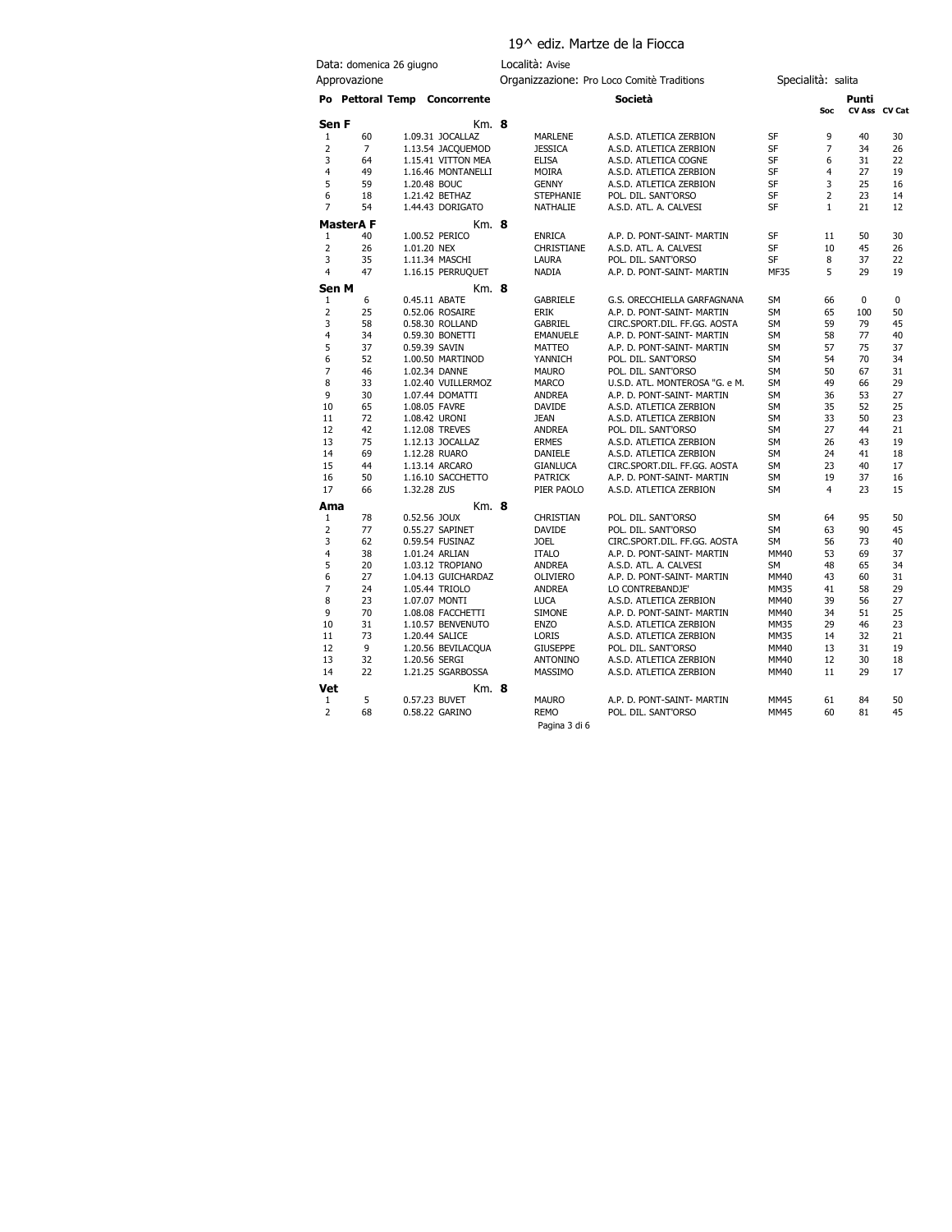# 19^ ediz. Martze de la Fiocca

| Data: domenica 26 giugno |                 |  | Località: Avise                      |                                            |                           |                                                       |                        |                    |          |               |
|--------------------------|-----------------|--|--------------------------------------|--------------------------------------------|---------------------------|-------------------------------------------------------|------------------------|--------------------|----------|---------------|
| Approvazione             |                 |  |                                      | Organizzazione: Pro Loco Comitè Traditions |                           |                                                       |                        | Specialità: salita |          |               |
|                          |                 |  | Po Pettoral Temp Concorrente         |                                            |                           | Società                                               |                        | Soc                | Punti    | CV Ass CV Cat |
| Sen F                    |                 |  | Km. 8                                |                                            |                           |                                                       |                        |                    |          |               |
| 1                        | 60              |  | 1.09.31 JOCALLAZ                     |                                            | <b>MARLENE</b>            | A.S.D. ATLETICA ZERBION                               | SF                     | 9                  | 40       | 30            |
| $\overline{2}$           | $\overline{7}$  |  | 1.13.54 JACQUEMOD                    |                                            | <b>JESSICA</b>            | A.S.D. ATLETICA ZERBION                               | SF                     | $\overline{7}$     | 34       | 26            |
| 3                        | 64              |  | 1.15.41 VITTON MEA                   |                                            | <b>ELISA</b>              | A.S.D. ATLETICA COGNE                                 | SF                     | 6                  | 31       | 22            |
| 4                        | 49              |  | 1.16.46 MONTANELLI                   |                                            | <b>MOIRA</b>              | A.S.D. ATLETICA ZERBION                               | <b>SF</b>              | 4                  | 27       | 19            |
| 5                        | 59              |  | 1.20.48 BOUC                         |                                            | <b>GENNY</b>              | A.S.D. ATLETICA ZERBION                               | SF                     | 3                  | 25       | 16            |
| 6                        | 18              |  | 1.21.42 BETHAZ                       |                                            | <b>STEPHANIE</b>          | POL. DIL. SANT'ORSO                                   | SF                     | $\overline{2}$     | 23       | 14            |
| $\overline{7}$           | 54              |  | 1.44.43 DORIGATO                     |                                            | NATHALIE                  | A.S.D. ATL. A. CALVESI                                | <b>SF</b>              | $\mathbf{1}$       | 21       | 12            |
|                          | <b>MasterAF</b> |  | Km. 8                                |                                            |                           |                                                       |                        |                    |          |               |
| $\mathbf{1}$             | 40              |  | 1.00.52 PERICO                       |                                            | <b>ENRICA</b>             | A.P. D. PONT-SAINT- MARTIN                            | SF                     | 11                 | 50       | 30            |
| $\overline{2}$           | 26              |  | 1.01.20 NEX                          |                                            | CHRISTIANE                | A.S.D. ATL. A. CALVESI                                | SF                     | 10                 | 45       | 26            |
| 3                        | 35              |  | 1.11.34 MASCHI                       |                                            | LAURA                     | POL. DIL. SANT'ORSO                                   | <b>SF</b>              | 8                  | 37       | 22            |
| $\overline{4}$           | 47              |  | 1.16.15 PERRUQUET                    |                                            | <b>NADIA</b>              | A.P. D. PONT-SAINT- MARTIN                            | <b>MF35</b>            | 5                  | 29       | 19            |
| Sen M                    |                 |  | Km. 8                                |                                            |                           |                                                       |                        |                    |          |               |
| $\mathbf{1}$             | 6               |  | 0.45.11 ABATE                        |                                            | <b>GABRIELE</b>           | G.S. ORECCHIELLA GARFAGNANA                           | <b>SM</b>              | 66                 | $\Omega$ | $\mathbf 0$   |
| 2                        | 25              |  | 0.52.06 ROSAIRE                      |                                            | <b>ERIK</b>               | A.P. D. PONT-SAINT- MARTIN                            | <b>SM</b>              | 65                 | 100      | 50            |
| 3                        | 58              |  | 0.58.30 ROLLAND                      |                                            | <b>GABRIEL</b>            | CIRC.SPORT.DIL. FF.GG. AOSTA                          | <b>SM</b>              | 59                 | 79       | 45            |
| $\overline{4}$<br>5      | 34              |  | 0.59.30 BONETTI                      |                                            | <b>EMANUELE</b>           | A.P. D. PONT-SAINT- MARTIN                            | <b>SM</b>              | 58                 | 77<br>75 | 40            |
| 6                        | 37<br>52        |  | 0.59.39 SAVIN<br>1.00.50 MARTINOD    |                                            | <b>MATTEO</b><br>YANNICH  | A.P. D. PONT-SAINT- MARTIN<br>POL. DIL. SANT'ORSO     | <b>SM</b><br><b>SM</b> | 57<br>54           | 70       | 37<br>34      |
| $\overline{7}$           | 46              |  | 1.02.34 DANNE                        |                                            | <b>MAURO</b>              | POL. DIL. SANT'ORSO                                   | <b>SM</b>              | 50                 | 67       | 31            |
| 8                        | 33              |  | 1.02.40 VUILLERMOZ                   |                                            | <b>MARCO</b>              | U.S.D. ATL. MONTEROSA "G. e M.                        | <b>SM</b>              | 49                 | 66       | 29            |
| 9                        | 30              |  | 1.07.44 DOMATTI                      |                                            | <b>ANDREA</b>             | A.P. D. PONT-SAINT- MARTIN                            | <b>SM</b>              | 36                 | 53       | 27            |
| 10                       | 65              |  | 1.08.05 FAVRE                        |                                            | DAVIDE                    | A.S.D. ATLETICA ZERBION                               | <b>SM</b>              | 35                 | 52       | 25            |
| 11                       | 72              |  | 1.08.42 URONI                        |                                            | <b>JEAN</b>               | A.S.D. ATLETICA ZERBION                               | <b>SM</b>              | 33                 | 50       | 23            |
| 12                       | 42              |  | 1.12.08 TREVES                       |                                            | <b>ANDREA</b>             | POL. DIL. SANT'ORSO                                   | <b>SM</b>              | 27                 | 44       | 21            |
| 13                       | 75              |  | 1.12.13 JOCALLAZ                     |                                            | <b>ERMES</b>              | A.S.D. ATLETICA ZERBION                               | <b>SM</b>              | 26                 | 43       | 19            |
| 14                       | 69              |  | 1.12.28 RUARO                        |                                            | DANIELE                   | A.S.D. ATLETICA ZERBION                               | <b>SM</b>              | 24                 | 41       | 18            |
| 15                       | 44              |  | 1.13.14 ARCARO                       |                                            | <b>GIANLUCA</b>           | CIRC.SPORT.DIL. FF.GG. AOSTA                          | <b>SM</b>              | 23                 | 40       | 17            |
| 16                       | 50              |  | 1.16.10 SACCHETTO                    |                                            | <b>PATRICK</b>            | A.P. D. PONT-SAINT- MARTIN                            | <b>SM</b>              | 19                 | 37       | 16            |
| 17                       | 66              |  | 1.32.28 ZUS                          |                                            | PIER PAOLO                | A.S.D. ATLETICA ZERBION                               | <b>SM</b>              | 4                  | 23       | 15            |
| Ama                      |                 |  | $Km.$ 8                              |                                            |                           |                                                       |                        |                    |          |               |
| 1                        | 78              |  | 0.52.56 JOUX                         |                                            | CHRISTIAN                 | POL. DIL. SANT'ORSO                                   | <b>SM</b>              | 64                 | 95       | 50            |
| $\overline{2}$           | 77              |  | 0.55.27 SAPINET                      |                                            | DAVIDE                    | POL. DIL. SANT'ORSO                                   | <b>SM</b>              | 63                 | 90       | 45            |
| 3                        | 62              |  | 0.59.54 FUSINAZ                      |                                            | <b>JOEL</b>               | CIRC.SPORT.DIL. FF.GG. AOSTA                          | SM                     | 56                 | 73       | 40            |
| $\overline{4}$           | 38              |  | 1.01.24 ARLIAN                       |                                            | <b>ITALO</b>              | A.P. D. PONT-SAINT- MARTIN                            | <b>MM40</b>            | 53                 | 69       | 37            |
| 5                        | 20              |  | 1.03.12 TROPIANO                     |                                            | <b>ANDREA</b>             | A.S.D. ATL. A. CALVESI                                | <b>SM</b>              | 48                 | 65       | 34            |
| 6<br>$\overline{7}$      | 27<br>24        |  | 1.04.13 GUICHARDAZ<br>1.05.44 TRIOLO |                                            | OLIVIERO<br><b>ANDREA</b> | A.P. D. PONT-SAINT- MARTIN                            | MM40<br><b>MM35</b>    | 43<br>41           | 60<br>58 | 31<br>29      |
| 8                        | 23              |  | 1.07.07 MONTI                        |                                            | <b>LUCA</b>               | LO CONTREBANDJE'                                      | MM40                   | 39                 | 56       | 27            |
| 9                        | 70              |  | 1.08.08 FACCHETTI                    |                                            | <b>SIMONE</b>             | A.S.D. ATLETICA ZERBION<br>A.P. D. PONT-SAINT- MARTIN | MM40                   | 34                 | 51       | 25            |
| 10                       | 31              |  | 1.10.57 BENVENUTO                    |                                            | <b>ENZO</b>               | A.S.D. ATLETICA ZERBION                               | <b>MM35</b>            | 29                 | 46       | 23            |
| 11                       | 73              |  | 1.20.44 SALICE                       |                                            | LORIS                     | A.S.D. ATLETICA ZERBION                               | <b>MM35</b>            | 14                 | 32       | 21            |
| 12                       | 9               |  | 1.20.56 BEVILACQUA                   |                                            | <b>GIUSEPPE</b>           | POL. DIL. SANT'ORSO                                   | MM40                   | 13                 | 31       | 19            |
| 13                       | 32              |  | 1.20.56 SERGI                        |                                            | <b>ANTONINO</b>           | A.S.D. ATLETICA ZERBION                               | <b>MM40</b>            | 12                 | 30       | 18            |
| 14                       | 22              |  | 1.21.25 SGARBOSSA                    |                                            | MASSIMO                   | A.S.D. ATLETICA ZERBION                               | MM40                   | 11                 | 29       | 17            |
| <b>Vet</b>               |                 |  | Km. 8                                |                                            |                           |                                                       |                        |                    |          |               |
| 1                        | 5               |  | 0.57.23 BUVET                        |                                            | <b>MAURO</b>              | A.P. D. PONT-SAINT- MARTIN                            | MM45                   | 61                 | 84       | 50            |
| 2                        | 68              |  | 0.58.22 GARINO                       |                                            | <b>REMO</b>               | POL. DIL. SANT'ORSO                                   | MM45                   | 60                 | 81       | 45            |

Pagina 3 di 6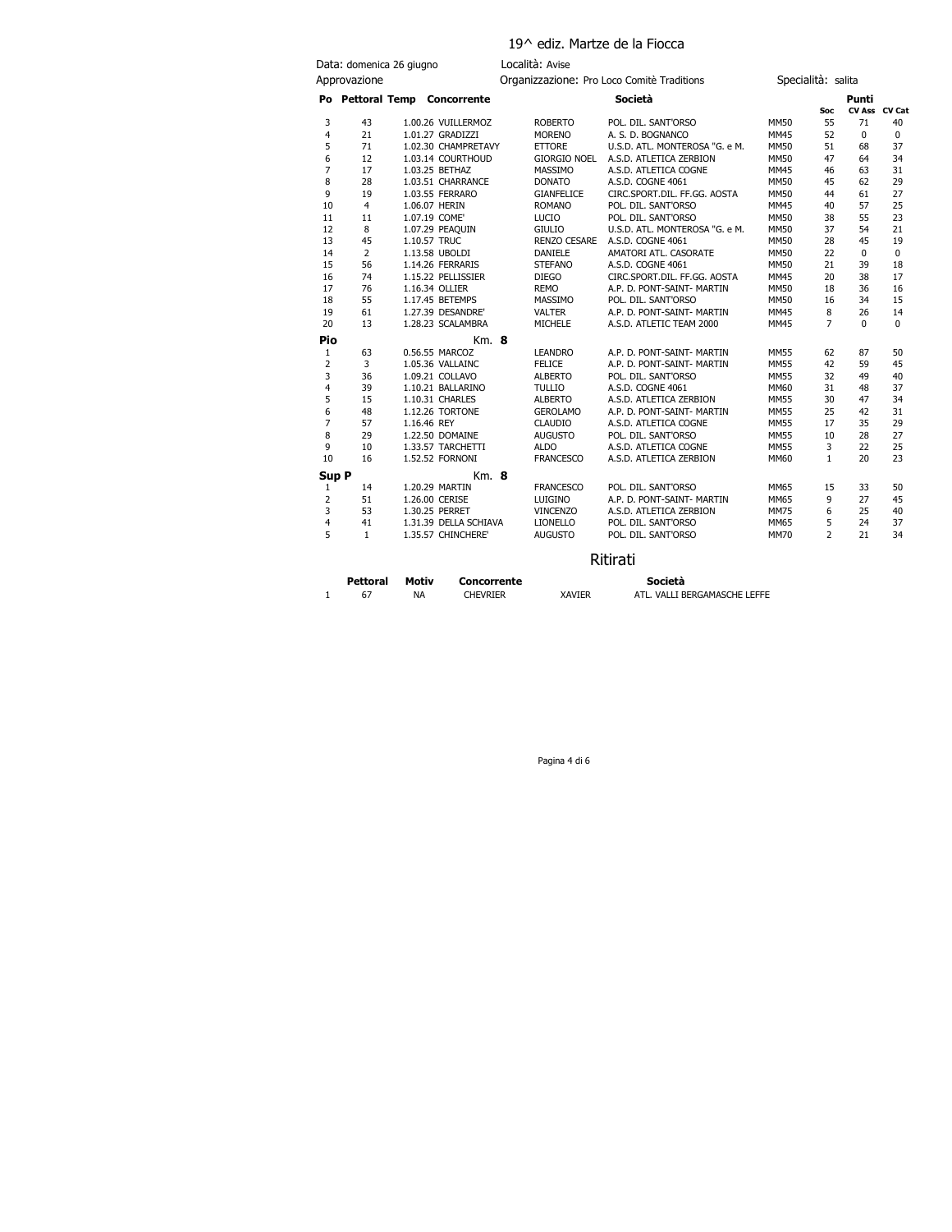# 19^ ediz. Martze de la Fiocca

|                | Data: domenica 26 giugno |              |                              | Località: Avise     |                                            |             |                    |             |               |
|----------------|--------------------------|--------------|------------------------------|---------------------|--------------------------------------------|-------------|--------------------|-------------|---------------|
|                | Approvazione             |              |                              |                     | Organizzazione: Pro Loco Comitè Traditions |             | Specialità: salita |             |               |
|                |                          |              | Po Pettoral Temp Concorrente |                     | Società                                    |             |                    | Punti       |               |
|                |                          |              |                              |                     |                                            |             | Soc                |             | CV Ass CV Cat |
| 3              | 43                       |              | 1.00.26 VUILLERMOZ           | <b>ROBERTO</b>      | POL. DIL. SANT'ORSO                        | <b>MM50</b> | 55                 | 71          | 40            |
| 4              | 21                       |              | 1.01.27 GRADIZZI             | <b>MORENO</b>       | A. S. D. BOGNANCO                          | <b>MM45</b> | 52                 | $\mathbf 0$ | 0             |
| 5              | 71                       |              | 1.02.30 CHAMPRETAVY          | <b>ETTORE</b>       | U.S.D. ATL. MONTEROSA "G. e M.             | MM50        | 51                 | 68          | 37            |
| 6              | 12                       |              | 1.03.14 COURTHOUD            | <b>GIORGIO NOEL</b> | A.S.D. ATLETICA ZERBION                    | <b>MM50</b> | 47                 | 64          | 34            |
| 7              | 17                       |              | 1.03.25 BETHAZ               | MASSIMO             | A.S.D. ATLETICA COGNE                      | <b>MM45</b> | 46                 | 63          | 31            |
| 8              | 28                       |              | 1.03.51 CHARRANCE            | <b>DONATO</b>       | A.S.D. COGNE 4061                          | <b>MM50</b> | 45                 | 62          | 29            |
| 9              | 19                       |              | 1.03.55 FERRARO              | <b>GIANFELICE</b>   | CIRC.SPORT.DIL. FF.GG. AOSTA               | <b>MM50</b> | 44                 | 61          | 27            |
| 10             | $\overline{4}$           |              | 1.06.07 HERIN                | <b>ROMANO</b>       | POL. DIL. SANT'ORSO                        | <b>MM45</b> | 40                 | 57          | 25            |
| 11             | 11                       |              | 1.07.19 COME'                | LUCIO               | POL. DIL. SANT'ORSO                        | <b>MM50</b> | 38                 | 55          | 23            |
| 12             | 8                        |              | 1.07.29 PEAQUIN              | <b>GIULIO</b>       | U.S.D. ATL. MONTEROSA "G. e M.             | <b>MM50</b> | 37                 | 54          | 21            |
| 13             | 45                       | 1.10.57 TRUC |                              | <b>RENZO CESARE</b> | A.S.D. COGNE 4061                          | <b>MM50</b> | 28                 | 45          | 19            |
| 14             | $\overline{2}$           |              | 1.13.58 UBOLDI               | <b>DANIELE</b>      | AMATORI ATL. CASORATE                      | <b>MM50</b> | 22                 | $\Omega$    | $\mathbf 0$   |
| 15             | 56                       |              | 1.14.26 FERRARIS             | <b>STEFANO</b>      | A.S.D. COGNE 4061                          | <b>MM50</b> | 21                 | 39          | 18            |
| 16             | 74                       |              | 1.15.22 PELLISSIER           | <b>DIEGO</b>        | CIRC.SPORT.DIL. FF.GG. AOSTA               | <b>MM45</b> | 20                 | 38          | 17            |
| 17             | 76                       |              | 1.16.34 OLLIER               | <b>REMO</b>         | A.P. D. PONT-SAINT- MARTIN                 | MM50        | 18                 | 36          | 16            |
| 18             | 55                       |              | 1.17.45 BETEMPS              | MASSIMO             | POL. DIL. SANT'ORSO                        | <b>MM50</b> | 16                 | 34          | 15            |
| 19             | 61                       |              | 1.27.39 DESANDRE'            | <b>VALTER</b>       | A.P. D. PONT-SAINT- MARTIN                 | MM45        | 8                  | 26          | 14            |
| 20             | 13                       |              | 1.28.23 SCALAMBRA            | <b>MICHELE</b>      | A.S.D. ATLETIC TEAM 2000                   | <b>MM45</b> | $\overline{7}$     | $\Omega$    | $\Omega$      |
| Pio            |                          |              | Km. 8                        |                     |                                            |             |                    |             |               |
| 1              | 63                       |              | 0.56.55 MARCOZ               | <b>LEANDRO</b>      | A.P. D. PONT-SAINT- MARTIN                 | <b>MM55</b> | 62                 | 87          | 50            |
| $\overline{2}$ | 3                        |              | 1.05.36 VALLAINC             | <b>FELICE</b>       | A.P. D. PONT-SAINT- MARTIN                 | <b>MM55</b> | 42                 | 59          | 45            |
| 3              | 36                       |              | 1.09.21 COLLAVO              | <b>ALBERTO</b>      | POL. DIL. SANT'ORSO                        | <b>MM55</b> | 32                 | 49          | 40            |
| 4              | 39                       |              | 1.10.21 BALLARINO            | <b>TULLIO</b>       | A.S.D. COGNE 4061                          | MM60        | 31                 | 48          | 37            |
| 5              | 15                       |              | 1.10.31 CHARLES              | <b>ALBERTO</b>      | A.S.D. ATLETICA ZERBION                    | <b>MM55</b> | 30                 | 47          | 34            |
| 6              | 48                       |              | 1.12.26 TORTONE              | <b>GEROLAMO</b>     | A.P. D. PONT-SAINT- MARTIN                 | <b>MM55</b> | 25                 | 42          | 31            |
| $\overline{7}$ | 57                       | 1.16.46 REY  |                              | <b>CLAUDIO</b>      | A.S.D. ATLETICA COGNE                      | <b>MM55</b> | 17                 | 35          | 29            |
| 8              | 29                       |              | 1.22.50 DOMAINE              | <b>AUGUSTO</b>      | POL. DIL. SANT'ORSO                        | <b>MM55</b> | 10                 | 28          | 27            |
| 9              | 10                       |              | 1.33.57 TARCHETTI            | <b>ALDO</b>         | A.S.D. ATLETICA COGNE                      | <b>MM55</b> | 3                  | 22          | 25            |
| 10             | 16                       |              | 1.52.52 FORNONI              | <b>FRANCESCO</b>    | A.S.D. ATLETICA ZERBION                    | MM60        | $\mathbf{1}$       | 20          | 23            |
| Sup P          |                          |              | $Km.$ 8                      |                     |                                            |             |                    |             |               |
| 1              | 14                       |              | 1.20.29 MARTIN               | <b>FRANCESCO</b>    | POL. DIL. SANT'ORSO                        | MM65        | 15                 | 33          | 50            |
| $\overline{2}$ | 51                       |              | 1.26.00 CERISE               | LUIGINO             | A.P. D. PONT-SAINT- MARTIN                 | MM65        | 9                  | 27          | 45            |
| 3              | 53                       |              | 1.30.25 PERRET               | <b>VINCENZO</b>     | A.S.D. ATLETICA ZERBION                    | <b>MM75</b> | 6                  | 25          | 40            |
| 4              | 41                       |              | 1.31.39 DELLA SCHIAVA        | <b>LIONELLO</b>     | POL. DIL. SANT'ORSO                        | MM65        | 5                  | 24          | 37            |
| 5              | $\mathbf{1}$             |              | 1.35.57 CHINCHERE'           | <b>AUGUSTO</b>      | POL. DIL. SANT'ORSO                        | <b>MM70</b> | $\overline{2}$     | 21          | 34            |
|                |                          |              |                              |                     |                                            |             |                    |             |               |

Ritirati

| <b>Pettoral</b> | Motiv | Concorrente     |               | Società                      |
|-----------------|-------|-----------------|---------------|------------------------------|
| 67              | NA    | <b>CHEVRIER</b> | <b>XAVIER</b> | ATL. VALLI BERGAMASCHE LEFFE |

Pagina 4 di 6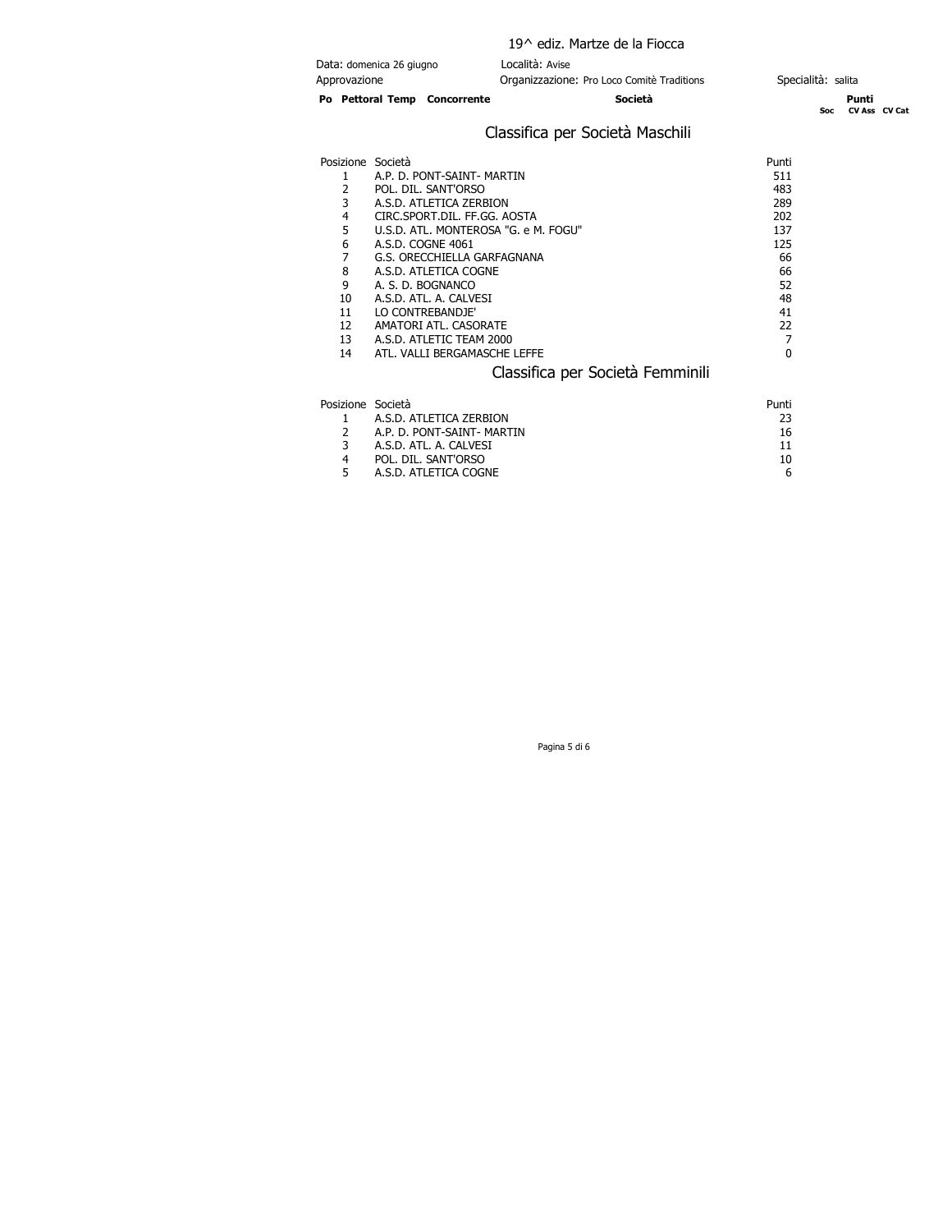|                   |                                      | 19^ ediz. Martze de la Fiocca                                 |                    |                        |
|-------------------|--------------------------------------|---------------------------------------------------------------|--------------------|------------------------|
| Approvazione      | Data: domenica 26 giugno             | Località: Avise<br>Organizzazione: Pro Loco Comitè Traditions | Specialità: salita |                        |
|                   | Po Pettoral Temp Concorrente         | Società                                                       | Soc:               | Punti<br>CV Ass CV Cat |
|                   |                                      | Classifica per Società Maschili                               |                    |                        |
| Posizione Società |                                      |                                                               | Punti              |                        |
|                   | A.P. D. PONT-SAINT- MARTIN           |                                                               | 511                |                        |
|                   | POL. DIL. SANT'ORSO                  |                                                               | 483                |                        |
| 3                 | A.S.D. ATLETICA ZERBION              |                                                               | 289                |                        |
| 4                 | CIRC.SPORT.DIL. FF.GG. AOSTA         |                                                               | 202                |                        |
| 5                 | U.S.D. ATL. MONTEROSA "G. e M. FOGU" |                                                               | 137                |                        |
| 6                 | A.S.D. COGNE 4061                    |                                                               | 125                |                        |
|                   | G.S. ORECCHIELLA GARFAGNANA          |                                                               | 66                 |                        |

Classifica per Società Femminili

|   | A.S.D. ATL. A. CALVESI |  |
|---|------------------------|--|
| 4 | POL. DIL. SANT'ORSO    |  |
|   | A.S.D. ATLETICA COGNE  |  |

Posizione Società<br>1 A.S.D. ATLETICA ZERBION 23 1 A.S.D. ATLETICA ZERBION 23<br>2 A.P. D. PONT-SAINT- MARTIN 2007 2 A.P. D. PONT-SAINT- MARTIN 16

8 A.S.D. ATLETICA COGNE 66 9 A. S. D. BOGNANCO 52 10 A.S.D. ATL. A. CALVESI 48<br>11 LO CONTREBANDJE' 41 11 LO CONTREBANDJE' 41<br>12 AMATORI ATL. CASORATE 22 12 AMATORI ATL. CASORATE 22 13 A.S.D. ATLETIC TEAM 2000 7 14 ATL. VALLI BERGAMASCHE LEFFE 0

Pagina 5 di 6